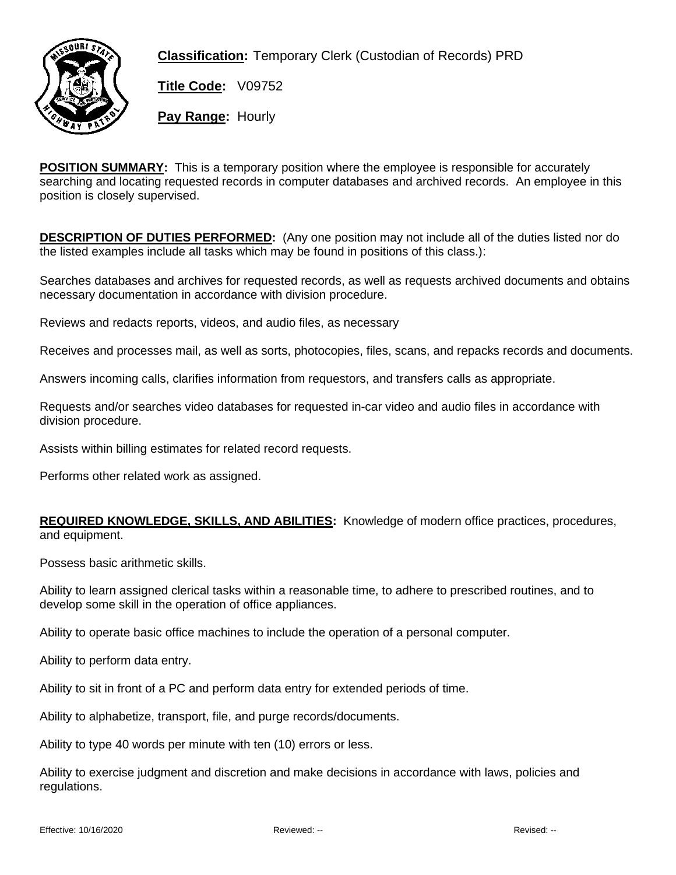

**Classification:** Temporary Clerk (Custodian of Records) PRD

**Title Code:** V09752

**Pay Range:** Hourly

**POSITION SUMMARY:** This is a temporary position where the employee is responsible for accurately searching and locating requested records in computer databases and archived records. An employee in this position is closely supervised.

**DESCRIPTION OF DUTIES PERFORMED:** (Any one position may not include all of the duties listed nor do the listed examples include all tasks which may be found in positions of this class.):

Searches databases and archives for requested records, as well as requests archived documents and obtains necessary documentation in accordance with division procedure.

Reviews and redacts reports, videos, and audio files, as necessary

Receives and processes mail, as well as sorts, photocopies, files, scans, and repacks records and documents.

Answers incoming calls, clarifies information from requestors, and transfers calls as appropriate.

Requests and/or searches video databases for requested in-car video and audio files in accordance with division procedure.

Assists within billing estimates for related record requests.

Performs other related work as assigned.

## **REQUIRED KNOWLEDGE, SKILLS, AND ABILITIES:** Knowledge of modern office practices, procedures, and equipment.

Possess basic arithmetic skills.

Ability to learn assigned clerical tasks within a reasonable time, to adhere to prescribed routines, and to develop some skill in the operation of office appliances.

Ability to operate basic office machines to include the operation of a personal computer.

Ability to perform data entry.

Ability to sit in front of a PC and perform data entry for extended periods of time.

Ability to alphabetize, transport, file, and purge records/documents.

Ability to type 40 words per minute with ten (10) errors or less.

Ability to exercise judgment and discretion and make decisions in accordance with laws, policies and regulations.